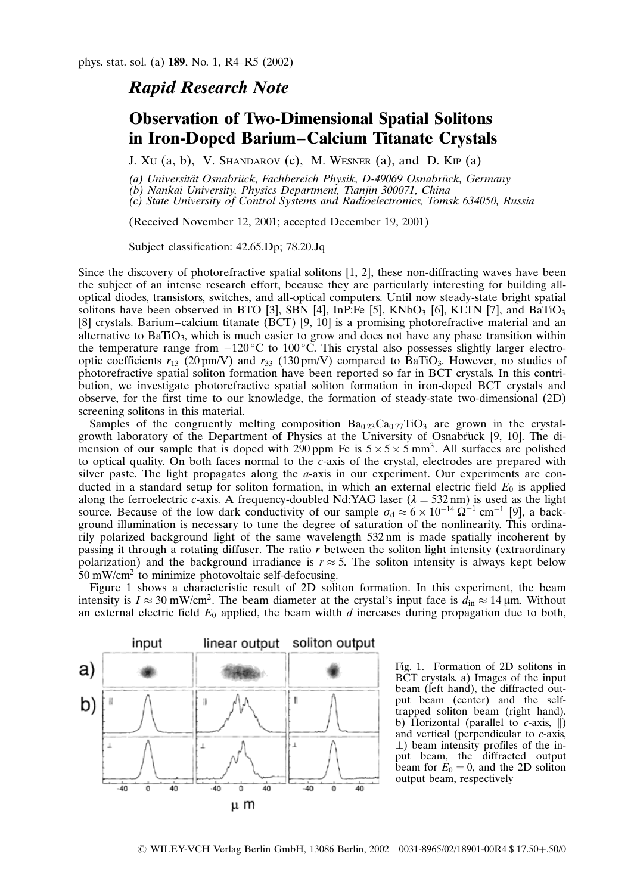## Rapid Research Note

## Observation of Two-Dimensional Spatial Solitons in Iron-Doped Barium–Calcium Titanate Crystals

J. Xu  $(a, b)$ , V. SHANDAROV  $(c)$ , M. WESNER  $(a)$ , and D. Kip  $(a)$ 

(a) Universität Osnabrück, Fachbereich Physik, D-49069 Osnabrück, Germany

(b) Nankai University, Physics Department, Tianjin 300071, China

(c) State University of Control Systems and Radioelectronics, Tomsk 634050, Russia

(Received November 12, 2001; accepted December 19, 2001)

Subject classification: 42.65.Dp; 78.20.Jq

Since the discovery of photorefractive spatial solitons [1, 2], these non-diffracting waves have been the subject of an intense research effort, because they are particularly interesting for building alloptical diodes, transistors, switches, and all-optical computers. Until now steady-state bright spatial solitons have been observed in BTO [3], SBN [4], InP:Fe [5], KNbO<sub>3</sub> [6], KLTN [7], and BaTiO<sub>3</sub> [8] crystals. Barium–calcium titanate (BCT) [9, 10] is a promising photorefractive material and an alternative to  $BaTiO<sub>3</sub>$ , which is much easier to grow and does not have any phase transition within the temperature range from  $-120^{\circ}$ C to 100 °C. This crystal also possesses slightly larger electrooptic coefficients  $r_{13}$  (20 pm/V) and  $r_{33}$  (130 pm/V) compared to BaTiO<sub>3</sub>. However, no studies of photorefractive spatial soliton formation have been reported so far in BCT crystals. In this contribution, we investigate photorefractive spatial soliton formation in iron-doped BCT crystals and observe, for the first time to our knowledge, the formation of steady-state two-dimensional (2D) screening solitons in this material.

Samples of the congruently melting composition  $Ba_{0.23}Ca_{0.77}TiO_3$  are grown in the crystalgrowth laboratory of the Department of Physics at the University of Osnabruck [9, 10]. The dimension of our sample that is doped with 290 ppm Fe is  $5 \times 5 \times 5$  mm<sup>3</sup>. All surfaces are polished to optical quality. On both faces normal to the c-axis of the crystal, electrodes are prepared with silver paste. The light propagates along the  $a$ -axis in our experiment. Our experiments are conducted in a standard setup for soliton formation, in which an external electric field  $E_0$  is applied along the ferroelectric c-axis. A frequency-doubled Nd:YAG laser  $(\lambda = 532 \text{ nm})$  is used as the light source. Because of the low dark conductivity of our sample  $\sigma_d \approx 6 \times 10^{-14} \Omega^{-1}$  cm<sup>-1</sup> [9], a background illumination is necessary to tune the degree of saturation of the nonlinearity. This ordinarily polarized background light of the same wavelength 532 nm is made spatially incoherent by passing it through a rotating diffuser. The ratio r between the soliton light intensity (extraordinary polarization) and the background irradiance is  $r \approx 5$ . The soliton intensity is always kept below  $50 \text{ mW/cm}^2$  to minimize photovoltaic self-defocusing.

Figure 1 shows a characteristic result of 2D soliton formation. In this experiment, the beam intensity is  $I \approx 30$  mW/cm<sup>2</sup>. The beam diameter at the crystal's input face is  $d_{in} \approx 14$  µm. Without an external electric field  $E_0$  applied, the beam width d increases during propagation due to both,



Fig. 1. Formation of 2D solitons in BCT crystals. a) Images of the input beam (left hand), the diffracted output beam (center) and the selftrapped soliton beam (right hand). b) Horizontal (parallel to  $c$ -axis,  $\parallel$ ) and vertical (perpendicular to c-axis,  $\perp$ ) beam intensity profiles of the input beam, the diffracted output beam for  $E_0 = 0$ , and the 2D soliton output beam, respectively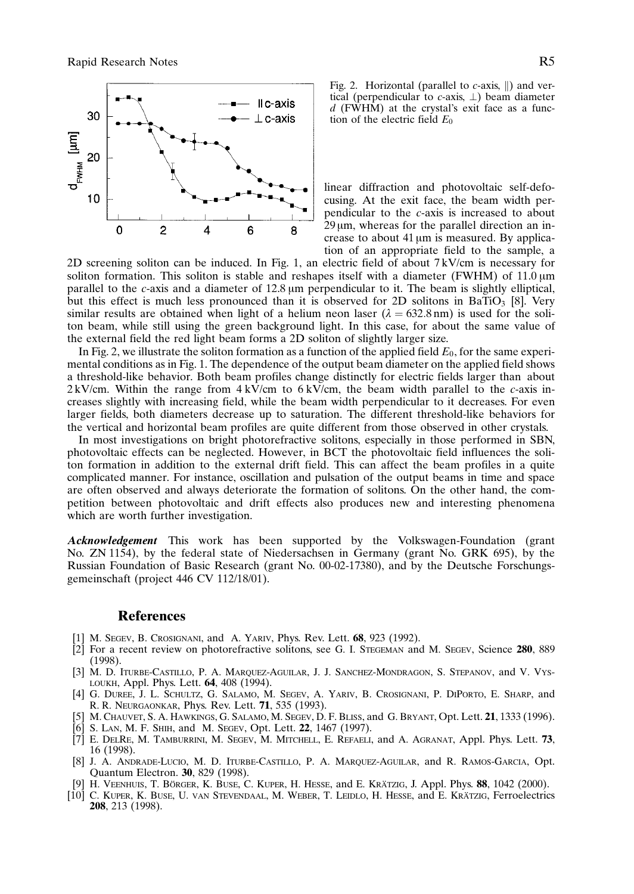

Fig. 2. Horizontal (parallel to  $c$ -axis,  $\parallel$ ) and vertical (perpendicular to  $c$ -axis,  $\perp$ ) beam diameter  $d$  (FWHM) at the crystal's exit face as a function of the electric field  $E_0$ 

linear diffraction and photovoltaic self-defocusing. At the exit face, the beam width perpendicular to the c-axis is increased to about  $29 \mu m$ , whereas for the parallel direction an increase to about 41  $\mu$ m is measured. By application of an appropriate field to the sample, a

2D screening soliton can be induced. In Fig. 1, an electric field of about 7 kV/cm is necessary for soliton formation. This soliton is stable and reshapes itself with a diameter (FWHM) of  $11.0 \mu m$ parallel to the  $c$ -axis and a diameter of 12.8  $\mu$ m perpendicular to it. The beam is slightly elliptical, but this effect is much less pronounced than it is observed for 2D solitons in BaTiO<sub>3</sub> [8]. Very similar results are obtained when light of a helium neon laser ( $\lambda = 632.8$  nm) is used for the soliton beam, while still using the green background light. In this case, for about the same value of the external field the red light beam forms a 2D soliton of slightly larger size.

In Fig. 2, we illustrate the soliton formation as a function of the applied field  $E_0$ , for the same experimental conditions as in Fig. 1. The dependence of the output beam diameter on the applied field shows a threshold-like behavior. Both beam profiles change distinctly for electric fields larger than about  $2 \text{ kV/cm}$ . Within the range from  $4 \text{ kV/cm}$  to  $6 \text{ kV/cm}$ , the beam width parallel to the c-axis increases slightly with increasing field, while the beam width perpendicular to it decreases. For even larger fields, both diameters decrease up to saturation. The different threshold-like behaviors for the vertical and horizontal beam profiles are quite different from those observed in other crystals.

In most investigations on bright photorefractive solitons, especially in those performed in SBN, photovoltaic effects can be neglected. However, in BCT the photovoltaic field influences the soliton formation in addition to the external drift field. This can affect the beam profiles in a quite complicated manner. For instance, oscillation and pulsation of the output beams in time and space are often observed and always deteriorate the formation of solitons. On the other hand, the competition between photovoltaic and drift effects also produces new and interesting phenomena which are worth further investigation.

Acknowledgement This work has been supported by the Volkswagen-Foundation (grant No. ZN 1154), by the federal state of Niedersachsen in Germany (grant No. GRK 695), by the Russian Foundation of Basic Research (grant No. 00-02-17380), and by the Deutsche Forschungsgemeinschaft (project 446 CV 112/18/01).

## References

- [1] M. SEGEV, B. CROSIGNANI, and A. YARIV, Phys. Rev. Lett. 68, 923 (1992).
- [2] For a recent review on photorefractive solitons, see G. I. STEGEMAN and M. SEGEV, Science 280, 889 (1998).
- [3] M. D. Iturbe-Castillo, P. A. Marquez-Aguilar, J. J. Sanchez-Mondragon, S. Stepanov, and V. Vysloukh, Appl. Phys. Lett. 64, 408 (1994).
- [4] G. Duree, J. L. Schultz, G. Salamo, M. Segev, A. Yariv, B. Crosignani, P. DiPorto, E. Sharp, and R. R. Neurgaonkar, Phys. Rev. Lett. 71, 535 (1993).
- [5] M. Chauvet, S. A. Hawkings, G. Salamo, M. Segev, D. F. Bliss, and G. Bryant, Opt. Lett. 21, 1333 (1996).
- S. LAN, M. F. SHIH, and M. SEGEV, Opt. Lett. 22, 1467 (1997).
- [7] E. DelRe, M. Tamburrini, M. Segev, M. Mitchell, E. Refaeli, and A. Agranat, Appl. Phys. Lett. 73, 16 (1998).
- [8] J. A. Andrade-Lucio, M. D. Iturbe-Castillo, P. A. Marquez-Aguilar, and R. Ramos-Garcia, Opt. Quantum Electron. 30, 829 (1998).
- H. VEENHUIS, T. BÖRGER, K. BUSE, C. KUPER, H. HESSE, and E. KRÄTZIG, J. Appl. Phys. 88, 1042 (2000).
- [10] C. KUPER, K. BUSE, U. VAN STEVENDAAL, M. WEBER, T. LEIDLO, H. HESSE, and E. KRÄTZIG, Ferroelectrics 208, 213 (1998).